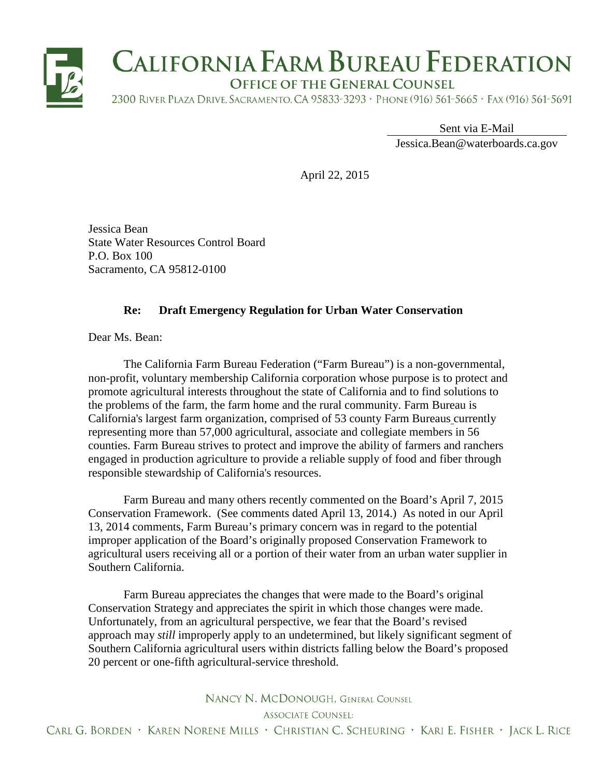

Sent via E-Mail

Jessica.Bean@waterboards.ca.gov

April 22, 2015

Jessica Bean State Water Resources Control Board P.O. Box 100 Sacramento, CA 95812-0100

## **Re: Draft Emergency Regulation for Urban Water Conservation**

Dear Ms. Bean:

The California Farm Bureau Federation ("Farm Bureau") is a non-governmental, non-profit, voluntary membership California corporation whose purpose is to protect and promote agricultural interests throughout the state of California and to find solutions to the problems of the farm, the farm home and the rural community. Farm Bureau is California's largest farm organization, comprised of [53 county Farm Bureaus](http://www.cfbf.com/CFBF/CountyFarmBureaus/CFBF/CountyFarmBureaus/Default.aspx) currently representing more than 57,000 agricultural, associate and collegiate members in 56 counties. Farm Bureau strives to protect and improve the ability of farmers and ranchers engaged in production agriculture to provide a reliable supply of food and fiber through responsible stewardship of California's resources.

Farm Bureau and many others recently commented on the Board's April 7, 2015 Conservation Framework. (See comments dated April 13, 2014.) As noted in our April 13, 2014 comments, Farm Bureau's primary concern was in regard to the potential improper application of the Board's originally proposed Conservation Framework to agricultural users receiving all or a portion of their water from an urban water supplier in Southern California.

Farm Bureau appreciates the changes that were made to the Board's original Conservation Strategy and appreciates the spirit in which those changes were made. Unfortunately, from an agricultural perspective, we fear that the Board's revised approach may *still* improperly apply to an undetermined, but likely significant segment of Southern California agricultural users within districts falling below the Board's proposed 20 percent or one-fifth agricultural-service threshold.

NANCY N. MCDONOUGH. GENERAL COUNSEL

**ASSOCIATE COUNSEL:** 

CARL G. BORDEN • KAREN NORENE MILLS • CHRISTIAN C. SCHEURING • KARI E. FISHER • JACK L. RICE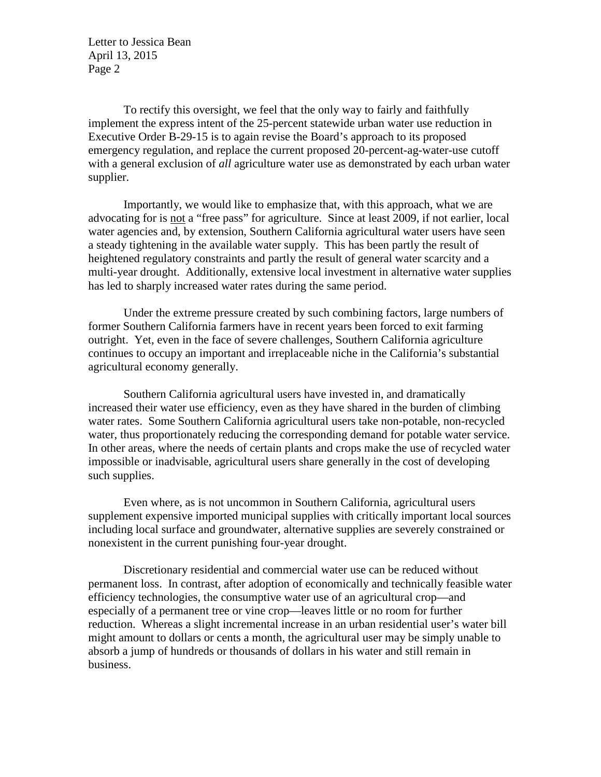Letter to Jessica Bean April 13, 2015 Page 2

To rectify this oversight, we feel that the only way to fairly and faithfully implement the express intent of the 25-percent statewide urban water use reduction in Executive Order B-29-15 is to again revise the Board's approach to its proposed emergency regulation, and replace the current proposed 20-percent-ag-water-use cutoff with a general exclusion of *all* agriculture water use as demonstrated by each urban water supplier.

Importantly, we would like to emphasize that, with this approach, what we are advocating for is not a "free pass" for agriculture. Since at least 2009, if not earlier, local water agencies and, by extension, Southern California agricultural water users have seen a steady tightening in the available water supply. This has been partly the result of heightened regulatory constraints and partly the result of general water scarcity and a multi-year drought. Additionally, extensive local investment in alternative water supplies has led to sharply increased water rates during the same period.

Under the extreme pressure created by such combining factors, large numbers of former Southern California farmers have in recent years been forced to exit farming outright. Yet, even in the face of severe challenges, Southern California agriculture continues to occupy an important and irreplaceable niche in the California's substantial agricultural economy generally.

Southern California agricultural users have invested in, and dramatically increased their water use efficiency, even as they have shared in the burden of climbing water rates. Some Southern California agricultural users take non-potable, non-recycled water, thus proportionately reducing the corresponding demand for potable water service. In other areas, where the needs of certain plants and crops make the use of recycled water impossible or inadvisable, agricultural users share generally in the cost of developing such supplies.

Even where, as is not uncommon in Southern California, agricultural users supplement expensive imported municipal supplies with critically important local sources including local surface and groundwater, alternative supplies are severely constrained or nonexistent in the current punishing four-year drought.

Discretionary residential and commercial water use can be reduced without permanent loss. In contrast, after adoption of economically and technically feasible water efficiency technologies, the consumptive water use of an agricultural crop—and especially of a permanent tree or vine crop—leaves little or no room for further reduction. Whereas a slight incremental increase in an urban residential user's water bill might amount to dollars or cents a month, the agricultural user may be simply unable to absorb a jump of hundreds or thousands of dollars in his water and still remain in business.